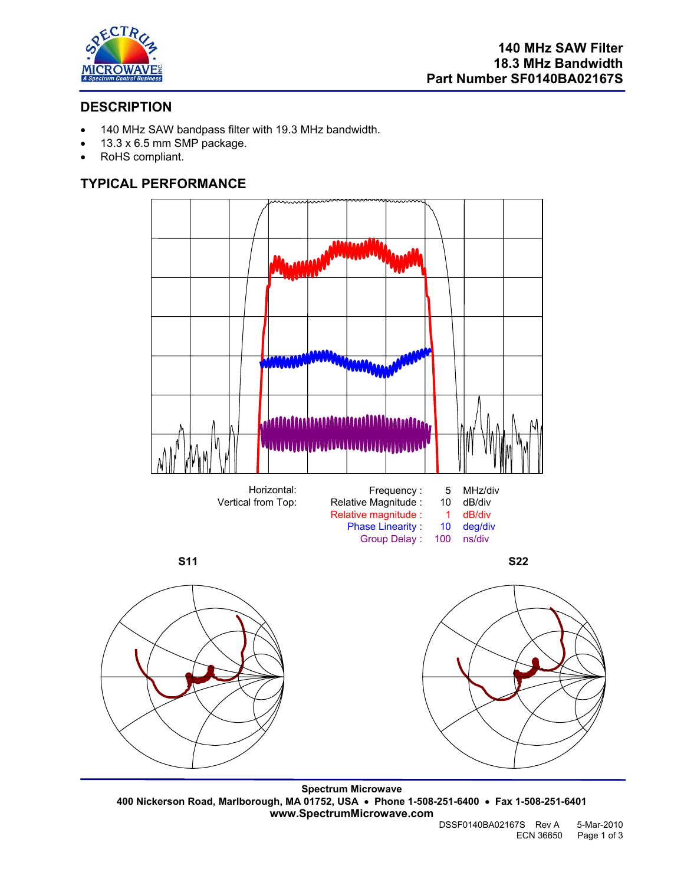

# **DESCRIPTION**

- 140 MHz SAW bandpass filter with 19.3 MHz bandwidth.
- 13.3 x 6.5 mm SMP package.
- RoHS compliant.

# **TYPICAL PERFORMANCE**



**S11** S22



Phase Linearity : 10 deg/di<br>Group Delay : 100 ns/div Group Delay : 100

**Spectrum Microwave 400 Nickerson Road, Marlborough, MA 01752, USA** • **Phone 1-508-251-6400** • **Fax 1-508-251-6401 www.SpectrumMicrowave.com**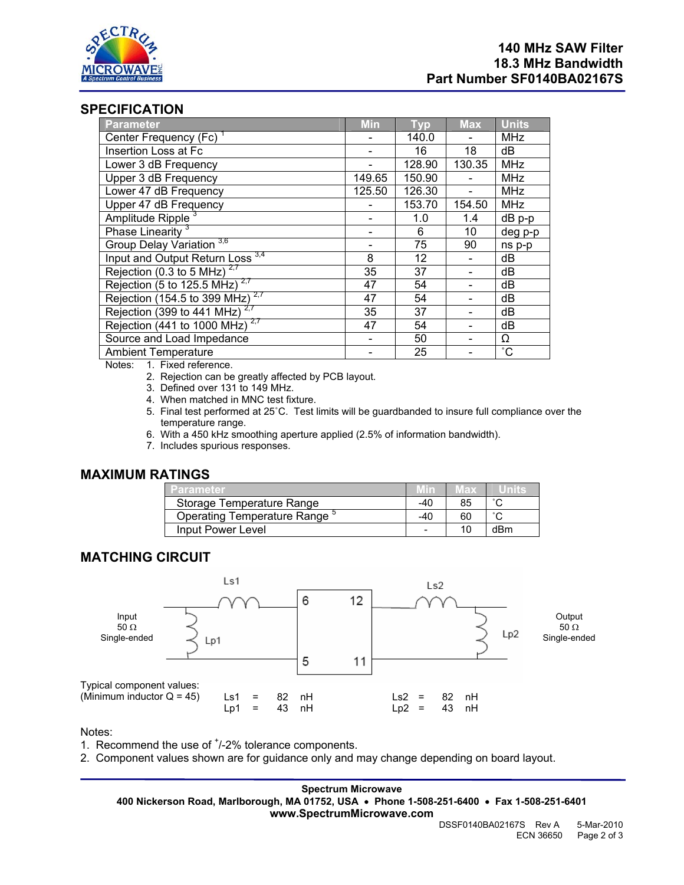

## **SPECIFICATION**

| Parameter                                  | <b>Min</b> | <b>Typ</b> | <b>Max</b> | <b>Units</b>    |
|--------------------------------------------|------------|------------|------------|-----------------|
| Center Frequency (Fc) <sup>1</sup>         |            | 140.0      |            | <b>MHz</b>      |
| Insertion Loss at Fc                       |            | 16         | 18         | dB              |
| Lower 3 dB Frequency                       |            | 128.90     | 130.35     | <b>MHz</b>      |
| Upper 3 dB Frequency                       | 149.65     | 150.90     |            | <b>MHz</b>      |
| Lower 47 dB Frequency                      | 125.50     | 126.30     |            | <b>MHz</b>      |
| Upper 47 dB Frequency                      |            | 153.70     | 154.50     | <b>MHz</b>      |
| Amplitude Ripple <sup>3</sup>              |            | 1.0        | 1.4        | $dB$ p-p        |
| Phase Linearity <sup>3</sup>               |            | 6          | 10         | deg p-p         |
| Group Delay Variation <sup>3,6</sup>       |            | 75         | 90         | ns p-p          |
| Input and Output Return Loss 3,4           | 8          | 12         |            | dB              |
| Rejection (0.3 to 5 MHz) $2.7$             | 35         | 37         |            | dB              |
| Rejection (5 to 125.5 MHz) $2.7$           | 47         | 54         |            | dB              |
| Rejection (154.5 to 399 MHz) $2.7$         | 47         | 54         |            | dB              |
| Rejection (399 to 441 MHz) $2.7$           | 35         | 37         |            | dB              |
| Rejection (441 to 1000 MHz) <sup>2,7</sup> | 47         | 54         |            | dB              |
| Source and Load Impedance                  |            | 50         |            | Ω               |
| <b>Ambient Temperature</b>                 |            | 25         |            | $\rm ^{\circ}C$ |

Notes: 1. Fixed reference.

- 2. Rejection can be greatly affected by PCB layout.
- 3. Defined over 131 to 149 MHz.
- 4. When matched in MNC test fixture.
- 5. Final test performed at 25˚C. Test limits will be guardbanded to insure full compliance over the temperature range.
- 6. With a 450 kHz smoothing aperture applied (2.5% of information bandwidth).
- 7. Includes spurious responses.

## **MAXIMUM RATINGS**

| <b>Parameter</b>            |     | vax |        |
|-----------------------------|-----|-----|--------|
| Storage Temperature Range   | -40 | 85  | $\sim$ |
| Operating Temperature Range | -40 | 60  | $\sim$ |
| Input Power Level           |     | 10  | dBm    |

#### **MATCHING CIRCUIT**



Notes:

1. Recommend the use of  $<sup>+</sup>/-2%$  tolerance components.</sup>

2. Component values shown are for guidance only and may change depending on board layout.

**Spectrum Microwave 400 Nickerson Road, Marlborough, MA 01752, USA** • **Phone 1-508-251-6400** • **Fax 1-508-251-6401 www.SpectrumMicrowave.com**